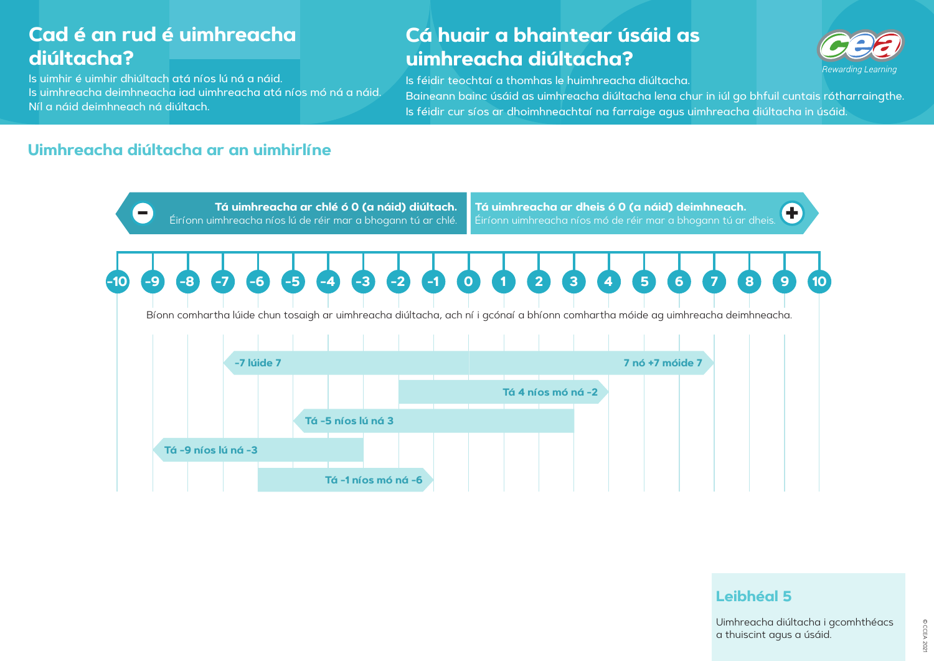Is uimhir é uimhir dhiúltach atá níos lú ná a náid. Is uimhreacha deimhneacha iad uimhreacha atá níos mó ná a náid. Níl a náid deimhneach ná diúltach.

# **Cá huair a bhaintear úsáid as uimhreacha diúltacha?**

Is féidir teochtaí a thomhas le huimhreacha diúltacha. Baineann bainc úsáid as uimhreacha diúltacha lena chur in iúl go bhfuil cuntais rótharraingthe. Is féidir cur síos ar dhoimhneachtaí na farraige agus uimhreacha diúltacha in úsáid.

## **Uimhreacha diúltacha ar an uimhirlíne**





# **Leibhéal 5**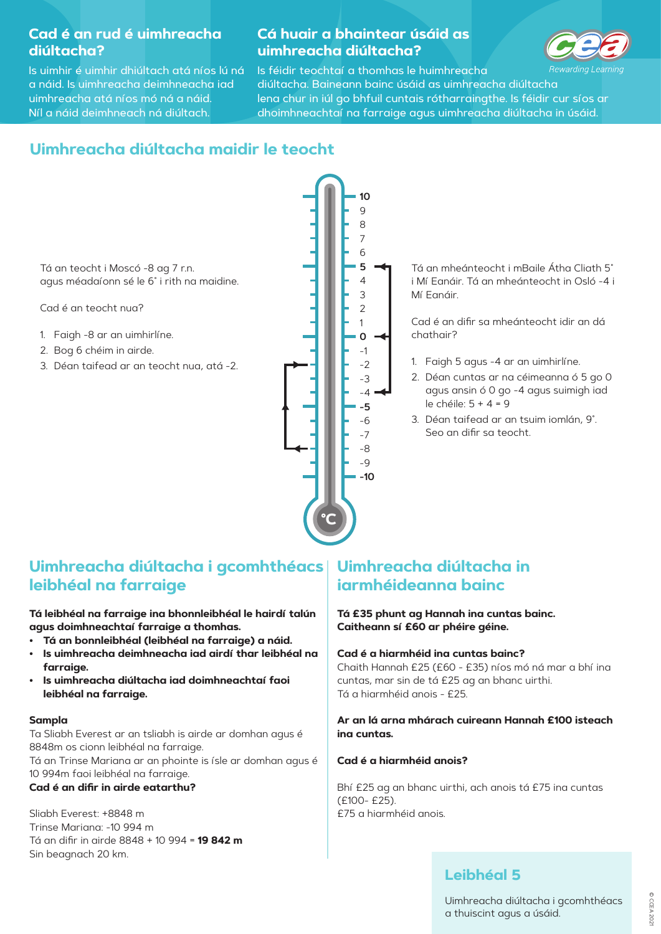Is uimhir é uimhir dhiúltach atá níos lú ná a náid. Is uimhreacha deimhneacha iad uimhreacha atá níos mó ná a náid. Níl a náid deimhneach ná diúltach.

### **Cá huair a bhaintear úsáid as uimhreacha diúltacha?**



Is féidir teochtaí a thomhas le huimhreachaarding Learning diúltacha. Baineann bainc úsáid as uimhreacha diúltacha lena chur in iúl go bhfuil cuntais rótharraingthe. Is féidir cur síos ar dhoimhneachtaí na farraige agus uimhreacha diúltacha in úsáid.

# **Uimhreacha diúltacha maidir le teocht**

Tá an mheánteocht i mBaile Átha Cliath 5˚ i Mí Eanáir. Tá an mheánteocht in Osló -4 i Mí Eanáir.



Cad é an difir sa mheánteocht idir an dá chathair?

- 1. Faigh 5 agus -4 ar an uimhirlíne.
- 2. Déan cuntas ar na céimeanna ó 5 go 0 agus ansin ó 0 go -4 agus suimigh iad le chéile: 5 + 4 = 9
- 3. Déan taifead ar an tsuim iomlán, 9˚. Seo an difir sa teocht.

# **Uimhreacha diúltacha i gcomhthéacs leibhéal na farraige**

**Tá leibhéal na farraige ina bhonnleibhéal le hairdí talún agus doimhneachtaí farraige a thomhas.**

- **• Tá an bonnleibhéal (leibhéal na farraige) a náid.**
- **• Is uimhreacha deimhneacha iad airdí thar leibhéal na farraige.**
- **• Is uimhreacha diúltacha iad doimhneachtaí faoi leibhéal na farraige.**

#### **Sampla**

Ta Sliabh Everest ar an tsliabh is airde ar domhan agus é 8848m os cionn leibhéal na farraige. Tá an Trinse Mariana ar an phointe is ísle ar domhan agus é 10 994m faoi leibhéal na farraige.

#### **Cad é an difir in airde eatarthu?**

Sliabh Everest: +8848 mTrinse Mariana: -10 994 m Tá an difir in airde 8848 + 10 994 = **19 842 m** Sin beagnach 20 km.

# **Uimhreacha diúltacha in iarmhéideanna bainc**

**Tá £35 phunt ag Hannah ina cuntas bainc. Caitheann sí £60 ar phéire géine.**

#### **Cad é a hiarmhéid ina cuntas bainc?**

Chaith Hannah £25 (£60 - £35) níos mó ná mar a bhí ina cuntas, mar sin de tá £25 ag an bhanc uirthi. Tá a hiarmhéid anois - £25.

**Ar an lá arna mhárach cuireann Hannah £100 isteach ina cuntas.** 

#### **Cad é a hiarmhéid anois?**

Bhí £25 ag an bhanc uirthi, ach anois tá £75 ina cuntas (£100- £25). £75 a hiarmhéid anois.

### **Leibhéal 5**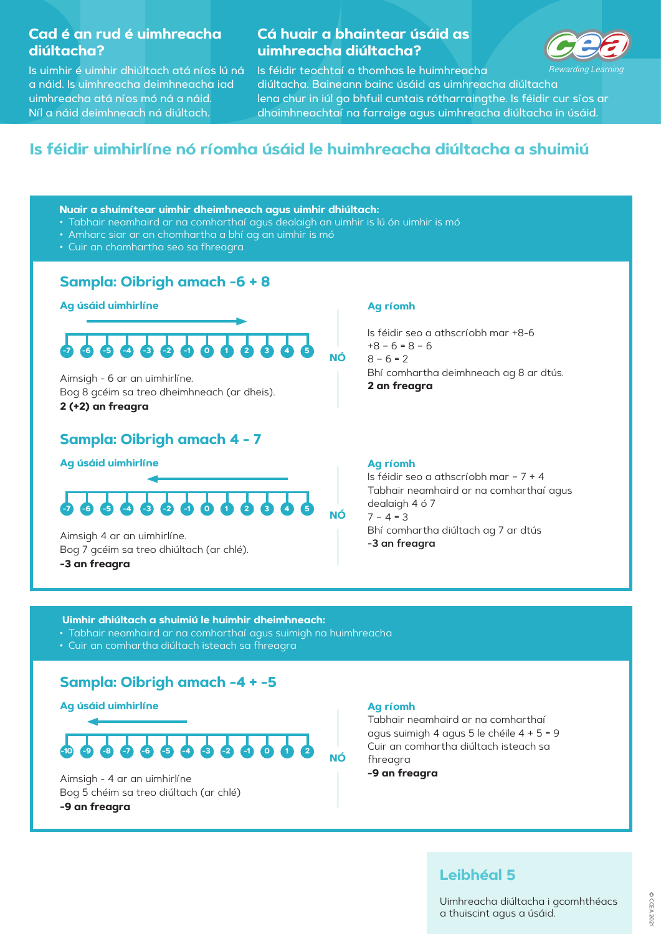Is uimhir é uimhir dhiúltach atá níos lú ná a náid. Is uimhreacha deimhneacha iad uimhreacha atá níos mó ná a náid. Níl a náid deimhneach ná diúltach.

### **Cá huair a bhaintear úsáid as uimhreacha diúltacha?**



Is féidir teochtaí a thomhas le huimhreacha ewarding Learning diúltacha. Baineann bainc úsáid as uimhreacha diúltacha lena chur in iúl go bhfuil cuntais rótharraingthe. Is féidir cur síos ar dhoimhneachtaí na farraige agus uimhreacha diúltacha in úsáid.

# **Is féidir uimhirlíne nó ríomha úsáid le huimhreacha diúltacha a shuimiú**

### **Sampla: Oibrigh amach -6 + 8**

### **Sampla: Oibrigh amach -4 + -5**



### **Sampla: Oibrigh amach 4 - 7**

**NÓ**

#### **Ag úsáid uimhirlíne**

**Ag úsáid uimhirlíne** 

Aimsigh - 6 ar an uimhirlíne. Bog 8 gcéim sa treo dheimhneach (ar dheis). **2 (+2) an freagra**

Aimsigh 4 ar an uimhirlíne. Bog 7 gcéim sa treo dhiúltach (ar chlé). **-3 an freagra**

#### **Ag ríomh**

Is féidir seo a athscríobh mar +8-6 $+8 - 6 = 8 - 6$  $8 - 6 = 2$ Bhí comhartha deimhneach ag 8 ar dtús. **2 an freagra**

# **NÓAg úsáid uimhirlíne** Aimsigh - 4 ar an uimhirlíne Bog 5 chéim sa treo diúltach (ar chlé) **-9 an freagra -10 -9 -8 -7 -6 -5 -4 -3 -2 -1 0 1 2**



#### **Ag ríomh**

Tabhair neamhaird ar na comharthaí agus suimigh 4 agus 5 le chéile 4 + 5 = 9 Cuir an comhartha diúltach isteach sa fhreagra **-9 an freagra**

#### **Ag ríomh**

Is féidir seo a athscríobh mar – 7 + 4 Tabhair neamhaird ar na comharthaí agus dealaigh 4 ó 7 7 – 4 = 3 Bhí comhartha diúltach ag 7 ar dtús **-3 an freagra**

#### **-7 -6 -5 -4 -3 -2 -1 0 1 2 3 4 5**

### **Leibhéal 5**

Uimhreacha diúltacha i gcomhthéacs a thuiscint agus a úsáid.

#### **Nuair a shuimítear uimhir dheimhneach agus uimhir dhiúltach:**

- Tabhair neamhaird ar na comharthaí agus dealaigh an uimhir is lú ón uimhir is mó
- Amharc siar ar an chomhartha a bhí ag an uimhir is mó
- Cuir an chomhartha seo sa fhreagra

#### **Uimhir dhiúltach a shuimiú le huimhir dheimhneach:**

- Tabhair neamhaird ar na comharthaí agus suimigh na huimhreacha
- Cuir an comhartha diúltach isteach sa fhreagra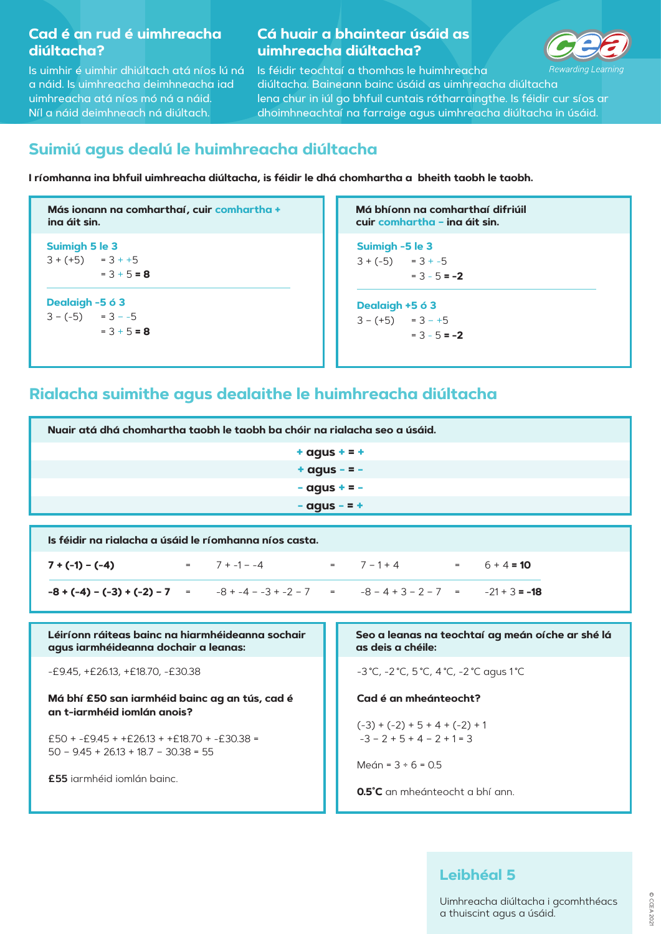Is uimhir é uimhir dhiúltach atá níos lú ná a náid. Is uimhreacha deimhneacha iad uimhreacha atá níos mó ná a náid. Níl a náid deimhneach ná diúltach.

### **Cá huair a bhaintear úsáid as uimhreacha diúltacha?**



Is féidir teochtaí a thomhas le huimhreacha varding Learning diúltacha. Baineann bainc úsáid as uimhreacha diúltachalena chur in iúl go bhfuil cuntais rótharraingthe. Is féidir cur síos ar dhoimhneachtaí na farraige agus uimhreacha diúltacha in úsáid.

**Suimigh 5 le 3**  $3 + (+5) = 3 + +5$  $= 3 + 5 = 8$ 

**Dealaigh -5 ó 3**  $3 - (-5) = 3 - (-5)$  $= 3 + 5 = 8$  **Má bhíonn na comharthaí difriúilcuir comhartha – ina áit sin.**

**Más ionann na comharthaí, cuir comhartha + ina áit sin.**

£50 + -£9.45 + +£26.13 + +£18.70 + -£30.38 =  $50 - 9.45 + 26.13 + 18.7 - 30.38 = 55$ 

# **Suimiú agus dealú le huimhreacha diúltacha**

**I ríomhanna ina bhfuil uimhreacha diúltacha, is féidir le dhá chomhartha a bheith taobh le taobh.**

**Suimigh -5 le 3**  $3 + (-5) = 3 + (-5)$ = 3 - 5 **= -2**

**Dealaigh +5 ó 3**  $3 - (+5) = 3 - +5$ = 3 - 5 **= -2**

#### **an t-iarmhéid iomlán anois?**

**£55** iarmhéid iomlán bainc.

 $(-3) + (-2) + 5 + 4 + (-2) + 1$  $-3 - 2 + 5 + 4 - 2 + 1 = 3$ 

Meán =  $3 \div 6 = 0.5$ 

| Nuair atá dhá chomhartha taobh le taobh ba chóir na rialacha seo a úsáid.                          |                                                                       |  |  |  |
|----------------------------------------------------------------------------------------------------|-----------------------------------------------------------------------|--|--|--|
| $+$ agus $+$ = $+$                                                                                 |                                                                       |  |  |  |
| $+$ agus - = -                                                                                     |                                                                       |  |  |  |
| $-$ agus $+$ = $-$                                                                                 |                                                                       |  |  |  |
| $-$ agus $-$ = $+$                                                                                 |                                                                       |  |  |  |
| Is féidir na rialacha a úsáid le ríomhanna níos casta.                                             |                                                                       |  |  |  |
| $= 7 + -1 - -4$ $= 7 - 1 + 4$ $= 6 + 4 = 10$<br>$7 + (-1) - (-4)$                                  |                                                                       |  |  |  |
| $-8 + (-4) - (-3) + (-2) - 7$ = $-8 + -4 - -3 + (-2) - 7$ = $-8 - 4 + 3 - 2 - 7$ = $-21 + 3 = -18$ |                                                                       |  |  |  |
|                                                                                                    |                                                                       |  |  |  |
| Léiríonn ráiteas bainc na hiarmhéideanna sochair<br>agus iarmhéideanna dochair a leanas:           | Seo a leanas na teochtaí ag meán oíche ar shé lá<br>as deis a chéile: |  |  |  |
| $-E9.45, +E26.13, +E18.70, -E30.38$                                                                | -3 °C, -2 °C, 5 °C, 4 °C, -2 °C agus 1 °C                             |  |  |  |
| Má bhí £50 san iarmhéid bainc ag an tús, cad é                                                     | Cad é an mheánteocht?                                                 |  |  |  |

**0.5˚C** an mheánteocht a bhí ann.

# **Rialacha suimithe agus dealaithe le huimhreacha diúltacha**

#### **Leibhéal 5**